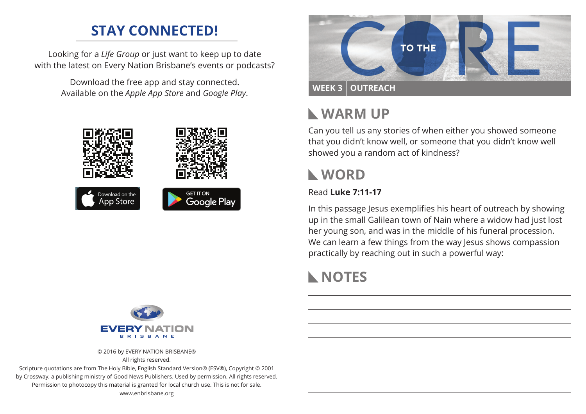# **STAY CONNECTED!**

Looking for a *Life Group* or just want to keep up to date with the latest on Every Nation Brisbane's events or podcasts?

> Download the free app and stay connected. Available on the *Apple App Store* and *Google Play*.





© 2016 by EVERY NATION BRISBANE® All rights reserved.

Scripture quotations are from The Holy Bible, English Standard Version® (ESV®), Copyright © 2001 by Crossway, a publishing ministry of Good News Publishers. Used by permission. All rights reserved. Permission to photocopy this material is granted for local church use. This is not for sale. www.enbrisbane.org



# **Warm Up**

Can you tell us any stories of when either you showed someone that you didn't know well, or someone that you didn't know well showed you a random act of kindness?

## **WORD**

### Read **Luke 7:11-17**

In this passage Jesus exemplifies his heart of outreach by showing up in the small Galilean town of Nain where a widow had just lost her young son, and was in the middle of his funeral procession. We can learn a few things from the way lesus shows compassion practically by reaching out in such a powerful way:

# **NOTES**